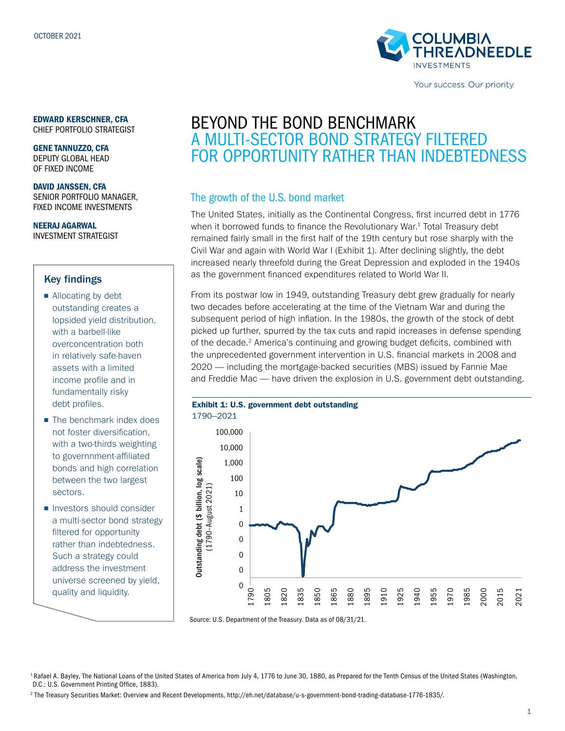

Your success. Our priority.

### EDWARD KERSCHNER, CFA

CHIEF PORTFOLIO STRATEGIST

GENE TANNUZZO, CFA DEPUTY GLOBAL HEAD OF FIXED INCOME

DAVID JANSSEN, CFA SENIOR PORTFOLIO MANAGER, FIXED INCOME INVESTMENTS

NEERAJ AGARWAL INVESTMENT STRATEGIST

### Key findings

- Allocating by debt outstanding creates a lopsided yield distribution, with a barbell-like overconcentration both in relatively safe-haven assets with a limited income profile and in fundamentally risky debt profiles.
- The benchmark index does not foster diversification, with a two-thirds weighting to governnment-affiliated bonds and high correlation between the two largest sectors.
- Investors should consider a multi-sector bond strategy filtered for opportunity rather than indebtedness. Such a strategy could address the investment universe screened by yield, quality and liquidity.

# BEYOND THE BOND BENCHMARK A MULTI-SECTOR BOND STRATEGY FILTERED FOR OPPORTUNITY RATHER THAN INDEBTEDNESS

### The growth of the U.S. bond market

The United States, initially as the Continental Congress, first incurred debt in 1776 when it borrowed funds to finance the Revolutionary War.<sup>1</sup> Total Treasury debt remained fairly small in the first half of the 19th century but rose sharply with the Civil War and again with World War I (Exhibit 1). After declining slightly, the debt increased nearly threefold during the Great Depression and exploded in the 1940s as the government financed expenditures related to World War II.

From its postwar low in 1949, outstanding Treasury debt grew gradually for nearly two decades before accelerating at the time of the Vietnam War and during the subsequent period of high inflation. In the 1980s, the growth of the stock of debt picked up further, spurred by the tax cuts and rapid increases in defense spending of the decade.<sup>2</sup> America's continuing and growing budget deficits, combined with the unprecedented government intervention in U.S. financial markets in 2008 and 2020 — including the mortgage-backed securities (MBS) issued by Fannie Mae and Freddie Mac — have driven the explosion in U.S. government debt outstanding.





Source: U.S. Department of the Treasury. Data as of 08/31/21.

<sup>1</sup> Rafael A. Bayley, The National Loans of the United States of America from July 4, 1776 to June 30, 1880, as Prepared for the Tenth Census of the United States (Washington, D.C.: U.S. Government Printing Office, 1883).

2 The Treasury Securities Market: Overview and Recent Developments, http://eh.net/database/u-s-government-bond-trading-database-1776-1835/.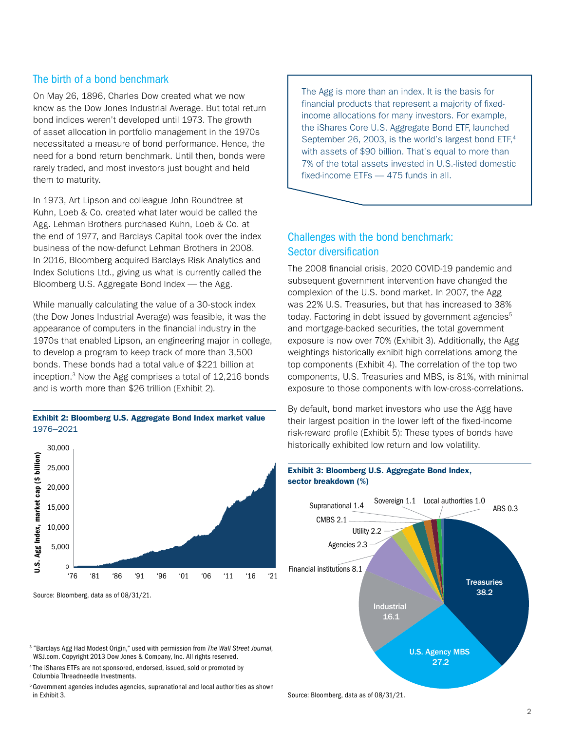# The birth of a bond benchmark

On May 26, 1896, Charles Dow created what we now know as the Dow Jones Industrial Average. But total return bond indices weren't developed until 1973. The growth of asset allocation in portfolio management in the 1970s necessitated a measure of bond performance. Hence, the need for a bond return benchmark. Until then, bonds were rarely traded, and most investors just bought and held them to maturity.

In 1973, Art Lipson and colleague John Roundtree at Kuhn, Loeb & Co. created what later would be called the Agg. Lehman Brothers purchased Kuhn, Loeb & Co. at the end of 1977, and Barclays Capital took over the index business of the now-defunct Lehman Brothers in 2008. In 2016, Bloomberg acquired Barclays Risk Analytics and Index Solutions Ltd., giving us what is currently called the Bloomberg U.S. Aggregate Bond Index — the Agg.

While manually calculating the value of a 30-stock index (the Dow Jones Industrial Average) was feasible, it was the appearance of computers in the financial industry in the 1970s that enabled Lipson, an engineering major in college, to develop a program to keep track of more than 3,500 bonds. These bonds had a total value of \$221 billion at inception.3 Now the Agg comprises a total of 12,216 bonds and is worth more than \$26 trillion (Exhibit 2).

#### **Exhibit 2: Bloomberg U.S. Aggregate Bond Index market value** 1976–2021



Source: Bloomberg, data as of 08/31/21.

3 "Barclays Agg Had Modest Origin," used with permission from *The Wall Street Journal*, WSJ.com. Copyright 2013 Dow Jones & Company, Inc. All rights reserved.

<sup>4</sup> The iShares ETFs are not sponsored, endorsed, issued, sold or promoted by Columbia Threadneedle Investments.

<sup>5</sup> Government agencies includes agencies, supranational and local authorities as shown in Exhibit 3.

The Agg is more than an index. It is the basis for financial products that represent a majority of fixedincome allocations for many investors. For example, the iShares Core U.S. Aggregate Bond ETF, launched September 26, 2003, is the world's largest bond ETF,4 with assets of \$90 billion. That's equal to more than 7% of the total assets invested in U.S.-listed domestic fixed-income ETFs — 475 funds in all.

# Challenges with the bond benchmark: Sector diversification

The 2008 financial crisis, 2020 COVID-19 pandemic and subsequent government intervention have changed the complexion of the U.S. bond market. In 2007, the Agg was 22% U.S. Treasuries, but that has increased to 38% today. Factoring in debt issued by government agencies<sup>5</sup> and mortgage-backed securities, the total government exposure is now over 70% (Exhibit 3). Additionally, the Agg weightings historically exhibit high correlations among the top components (Exhibit 4). The correlation of the top two components, U.S. Treasuries and MBS, is 81%, with minimal exposure to those components with low-cross-correlations.

By default, bond market investors who use the Agg have their largest position in the lower left of the fixed-income risk-reward profile (Exhibit 5): These types of bonds have historically exhibited low return and low volatility.



**Exhibit 3: Bloomberg U.S. Aggregate Bond Index, sector breakdown (%)**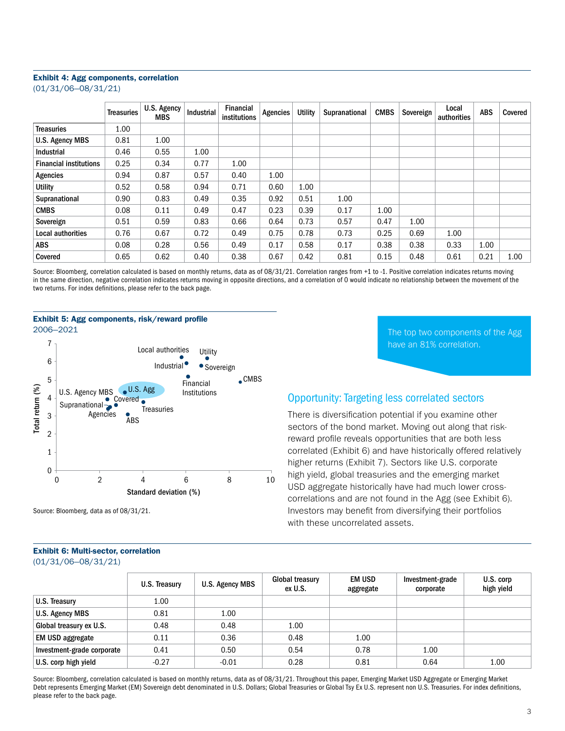#### **Exhibit 4: Agg components, correlation**

(01/31/06–08/31/21)

|                               | <b>Treasuries</b> | U.S. Agency<br><b>MBS</b> | Industrial | <b>Financial</b><br>institutions | Agencies | <b>Utility</b> | Supranational | <b>CMBS</b> | Sovereign | Local<br>authorities | <b>ABS</b> | Covered |
|-------------------------------|-------------------|---------------------------|------------|----------------------------------|----------|----------------|---------------|-------------|-----------|----------------------|------------|---------|
| Treasuries                    | 1.00              |                           |            |                                  |          |                |               |             |           |                      |            |         |
| <b>U.S. Agency MBS</b>        | 0.81              | 1.00                      |            |                                  |          |                |               |             |           |                      |            |         |
| Industrial                    | 0.46              | 0.55                      | 1.00       |                                  |          |                |               |             |           |                      |            |         |
| <b>Financial institutions</b> | 0.25              | 0.34                      | 0.77       | 1.00                             |          |                |               |             |           |                      |            |         |
| <b>Agencies</b>               | 0.94              | 0.87                      | 0.57       | 0.40                             | 1.00     |                |               |             |           |                      |            |         |
| <b>Utility</b>                | 0.52              | 0.58                      | 0.94       | 0.71                             | 0.60     | 1.00           |               |             |           |                      |            |         |
| Supranational                 | 0.90              | 0.83                      | 0.49       | 0.35                             | 0.92     | 0.51           | 1.00          |             |           |                      |            |         |
| <b>CMBS</b>                   | 0.08              | 0.11                      | 0.49       | 0.47                             | 0.23     | 0.39           | 0.17          | 1.00        |           |                      |            |         |
| Sovereign                     | 0.51              | 0.59                      | 0.83       | 0.66                             | 0.64     | 0.73           | 0.57          | 0.47        | 1.00      |                      |            |         |
| Local authorities             | 0.76              | 0.67                      | 0.72       | 0.49                             | 0.75     | 0.78           | 0.73          | 0.25        | 0.69      | 1.00                 |            |         |
| <b>ABS</b>                    | 0.08              | 0.28                      | 0.56       | 0.49                             | 0.17     | 0.58           | 0.17          | 0.38        | 0.38      | 0.33                 | 1.00       |         |
| Covered                       | 0.65              | 0.62                      | 0.40       | 0.38                             | 0.67     | 0.42           | 0.81          | 0.15        | 0.48      | 0.61                 | 0.21       | 1.00    |

Source: Bloomberg, correlation calculated is based on monthly returns, data as of 08/31/21. Correlation ranges from +1 to -1. Positive correlation indicates returns moving in the same direction, negative correlation indicates returns moving in opposite directions, and a correlation of 0 would indicate no relationship between the movement of the two returns. For index definitions, please refer to the back page.



Source: Bloomberg, data as of 08/31/21.

The top two components of the Agg have an 81% correlation.

### Opportunity: Targeting less correlated sectors

There is diversification potential if you examine other sectors of the bond market. Moving out along that riskreward profile reveals opportunities that are both less correlated (Exhibit 6) and have historically offered relatively higher returns (Exhibit 7). Sectors like U.S. corporate high yield, global treasuries and the emerging market USD aggregate historically have had much lower crosscorrelations and are not found in the Agg (see Exhibit 6). Investors may benefit from diversifying their portfolios with these uncorrelated assets.

|                            | U.S. Treasury | U.S. Agency MBS | <b>Global treasury</b><br>ex U.S. | <b>EM USD</b><br>aggregate | Investment-grade<br>corporate | U.S. corp<br>high yield |
|----------------------------|---------------|-----------------|-----------------------------------|----------------------------|-------------------------------|-------------------------|
| U.S. Treasury              | 1.00          |                 |                                   |                            |                               |                         |
| U.S. Agency MBS            | 0.81          | 1.00            |                                   |                            |                               |                         |
| Global treasury ex U.S.    | 0.48          | 0.48            | 1.00                              |                            |                               |                         |
| EM USD aggregate           | 0.11          | 0.36            | 0.48                              | 1.00                       |                               |                         |
| Investment-grade corporate | 0.41          | 0.50            | 0.54                              | 0.78                       | 1.00                          |                         |
| U.S. corp high yield       | $-0.27$       | $-0.01$         | 0.28                              | 0.81                       | 0.64                          | 1.00                    |

Source: Bloomberg, correlation calculated is based on monthly returns, data as of 08/31/21. Throughout this paper, Emerging Market USD Aggregate or Emerging Market Debt represents Emerging Market (EM) Sovereign debt denominated in U.S. Dollars; Global Treasuries or Global Tsy Ex U.S. represent non U.S. Treasuries. For index definitions, please refer to the back page.

#### **Exhibit 6: Multi-sector, correlation**  (01/31/06–08/31/21)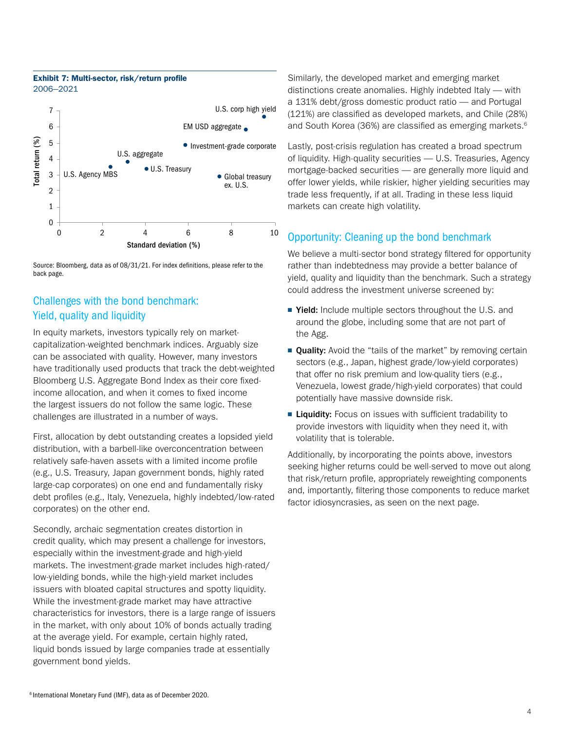#### **Exhibit 7: Multi-sector, risk/return profile**  2006–2021



Source: Bloomberg, data as of 08/31/21. For index definitions, please refer to the

# Challenges with the bond benchmark: Yield, quality and liquidity

In equity markets, investors typically rely on marketcapitalization-weighted benchmark indices. Arguably size can be associated with quality. However, many investors have traditionally used products that track the debt-weighted Bloomberg U.S. Aggregate Bond Index as their core fixedincome allocation, and when it comes to fixed income the largest issuers do not follow the same logic. These challenges are illustrated in a number of ways.

First, allocation by debt outstanding creates a lopsided yield distribution, with a barbell-like overconcentration between relatively safe-haven assets with a limited income profile (e.g., U.S. Treasury, Japan government bonds, highly rated large-cap corporates) on one end and fundamentally risky debt profiles (e.g., Italy, Venezuela, highly indebted/low-rated corporates) on the other end.

Secondly, archaic segmentation creates distortion in credit quality, which may present a challenge for investors, especially within the investment-grade and high-yield markets. The investment-grade market includes high-rated/ low-yielding bonds, while the high-yield market includes issuers with bloated capital structures and spotty liquidity. While the investment-grade market may have attractive characteristics for investors, there is a large range of issuers in the market, with only about 10% of bonds actually trading at the average yield. For example, certain highly rated, liquid bonds issued by large companies trade at essentially government bond yields.

Similarly, the developed market and emerging market distinctions create anomalies. Highly indebted Italy — with a 131% debt/gross domestic product ratio — and Portugal (121%) are classified as developed markets, and Chile (28%) and South Korea (36%) are classified as emerging markets.<sup>6</sup>

Lastly, post-crisis regulation has created a broad spectrum of liquidity. High-quality securities — U.S. Treasuries, Agency mortgage-backed securities — are generally more liquid and offer lower yields, while riskier, higher yielding securities may trade less frequently, if at all. Trading in these less liquid markets can create high volatility.

# Opportunity: Cleaning up the bond benchmark

We believe a multi-sector bond strategy filtered for opportunity rather than indebtedness may provide a better balance of yield, quality and liquidity than the benchmark. Such a strategy could address the investment universe screened by:

- Yield: Include multiple sectors throughout the U.S. and around the globe, including some that are not part of the Agg.
- **Quality:** Avoid the "tails of the market" by removing certain sectors (e.g., Japan, highest grade/low-yield corporates) that offer no risk premium and low-quality tiers (e.g., Venezuela, lowest grade/high-yield corporates) that could potentially have massive downside risk.
- Liquidity: Focus on issues with sufficient tradability to provide investors with liquidity when they need it, with volatility that is tolerable.

Additionally, by incorporating the points above, investors seeking higher returns could be well-served to move out along that risk/return profile, appropriately reweighting components and, importantly, filtering those components to reduce market factor idiosyncrasies, as seen on the next page.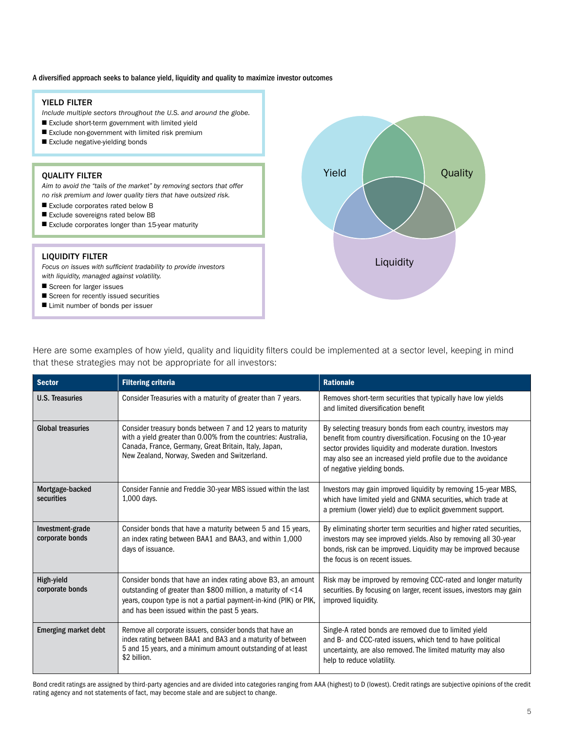#### A diversified approach seeks to balance yield, liquidity and quality to maximize investor outcomes

#### YIELD FILTER

*Include multiple sectors throughout the U.S. and around the globe.*

- Exclude short-term government with limited yield
- Exclude non-government with limited risk premium
- Exclude negative-yielding bonds

#### QUALITY FILTER

*Aim to avoid the "tails of the market" by removing sectors that offer no risk premium and lower quality tiers that have outsized risk.*

- Exclude corporates rated below B
- Exclude sovereigns rated below BB
- Exclude corporates longer than 15-year maturity

#### LIQUIDITY FILTER

Focus on issues with sufficient tradability to provide investors *with liquidity, managed against volatility.*

- Screen for larger issues
- Screen for recently issued securities
- Limit number of bonds per issuer



Here are some examples of how yield, quality and liquidity filters could be implemented at a sector level, keeping in mind that these strategies may not be appropriate for all investors:

| <b>Sector</b>                       | <b>Filtering criteria</b>                                                                                                                                                                                                                         | <b>Rationale</b>                                                                                                                                                                                                                                                                           |
|-------------------------------------|---------------------------------------------------------------------------------------------------------------------------------------------------------------------------------------------------------------------------------------------------|--------------------------------------------------------------------------------------------------------------------------------------------------------------------------------------------------------------------------------------------------------------------------------------------|
| <b>U.S. Treasuries</b>              | Consider Treasuries with a maturity of greater than 7 years.                                                                                                                                                                                      | Removes short-term securities that typically have low yields<br>and limited diversification benefit                                                                                                                                                                                        |
| <b>Global treasuries</b>            | Consider treasury bonds between 7 and 12 years to maturity<br>with a yield greater than 0.00% from the countries: Australia,<br>Canada, France, Germany, Great Britain, Italy, Japan,<br>New Zealand, Norway, Sweden and Switzerland.             | By selecting treasury bonds from each country, investors may<br>benefit from country diversification. Focusing on the 10-year<br>sector provides liquidity and moderate duration. Investors<br>may also see an increased yield profile due to the avoidance<br>of negative yielding bonds. |
| Mortgage-backed<br>securities       | Consider Fannie and Freddie 30-year MBS issued within the last<br>1,000 days.                                                                                                                                                                     | Investors may gain improved liquidity by removing 15-year MBS,<br>which have limited yield and GNMA securities, which trade at<br>a premium (lower yield) due to explicit government support.                                                                                              |
| Investment-grade<br>corporate bonds | Consider bonds that have a maturity between 5 and 15 years,<br>an index rating between BAA1 and BAA3, and within 1,000<br>days of issuance.                                                                                                       | By eliminating shorter term securities and higher rated securities,<br>investors may see improved yields. Also by removing all 30-year<br>bonds, risk can be improved. Liquidity may be improved because<br>the focus is on recent issues.                                                 |
| High-yield<br>corporate bonds       | Consider bonds that have an index rating above B3, an amount<br>outstanding of greater than \$800 million, a maturity of <14<br>years, coupon type is not a partial payment-in-kind (PIK) or PIK,<br>and has been issued within the past 5 years. | Risk may be improved by removing CCC-rated and longer maturity<br>securities. By focusing on larger, recent issues, investors may gain<br>improved liquidity.                                                                                                                              |
| <b>Emerging market debt</b>         | Remove all corporate issuers, consider bonds that have an<br>index rating between BAA1 and BA3 and a maturity of between<br>5 and 15 years, and a minimum amount outstanding of at least<br>\$2 billion.                                          | Single-A rated bonds are removed due to limited yield<br>and B- and CCC-rated issuers, which tend to have political<br>uncertainty, are also removed. The limited maturity may also<br>help to reduce volatility.                                                                          |

Bond credit ratings are assigned by third-party agencies and are divided into categories ranging from AAA (highest) to D (lowest). Credit ratings are subjective opinions of the credit rating agency and not statements of fact, may become stale and are subject to change.